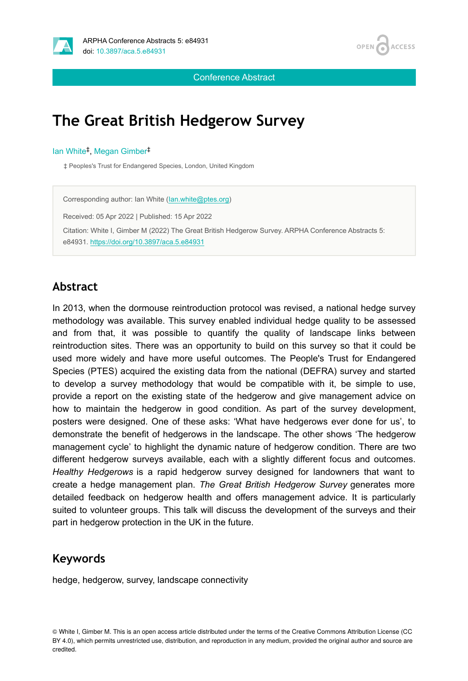



Conference Abstract

# **The Great British Hedgerow Survey**

#### lan White<sup>‡</sup>, Megan Gimber<sup>‡</sup>

‡ Peoples's Trust for Endangered Species, London, United Kingdom

Corresponding author: Ian White [\(Ian.white@ptes.org\)](mailto:Ian.white@ptes.org) Received: 05 Apr 2022 | Published: 15 Apr 2022 Citation: White I, Gimber M (2022) The Great British Hedgerow Survey. ARPHA Conference Abstracts 5: e84931.<https://doi.org/10.3897/aca.5.e84931>

### **Abstract**

In 2013, when the dormouse reintroduction protocol was revised, a national hedge survey methodology was available. This survey enabled individual hedge quality to be assessed and from that, it was possible to quantify the quality of landscape links between reintroduction sites. There was an opportunity to build on this survey so that it could be used more widely and have more useful outcomes. The People's Trust for Endangered Species (PTES) acquired the existing data from the national (DEFRA) survey and started to develop a survey methodology that would be compatible with it, be simple to use, provide a report on the existing state of the hedgerow and give management advice on how to maintain the hedgerow in good condition. As part of the survey development, posters were designed. One of these asks: 'What have hedgerows ever done for us', to demonstrate the benefit of hedgerows in the landscape. The other shows 'The hedgerow management cycle' to highlight the dynamic nature of hedgerow condition. There are two different hedgerow surveys available, each with a slightly different focus and outcomes. *Healthy Hedgerows* is a rapid hedgerow survey designed for landowners that want to create a hedge management plan. *The Great British Hedgerow Survey* generates more detailed feedback on hedgerow health and offers management advice. It is particularly suited to volunteer groups. This talk will discuss the development of the surveys and their part in hedgerow protection in the UK in the future.

#### **Keywords**

hedge, hedgerow, survey, landscape connectivity